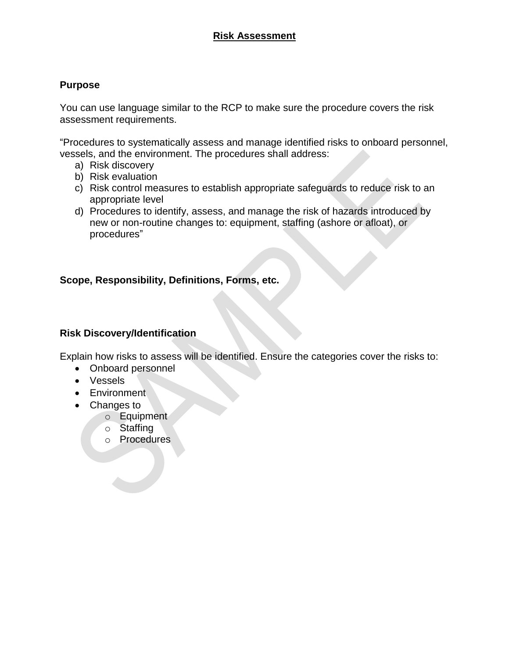# **Risk Assessment**

### **Purpose**

You can use language similar to the RCP to make sure the procedure covers the risk assessment requirements.

"Procedures to systematically assess and manage identified risks to onboard personnel, vessels, and the environment. The procedures shall address:

- a) Risk discovery
- b) Risk evaluation
- c) Risk control measures to establish appropriate safeguards to reduce risk to an appropriate level
- d) Procedures to identify, assess, and manage the risk of hazards introduced by new or non-routine changes to: equipment, staffing (ashore or afloat), or procedures"

### **Scope, Responsibility, Definitions, Forms, etc.**

#### **Risk Discovery/Identification**

Explain how risks to assess will be identified. Ensure the categories cover the risks to:

- Onboard personnel
- Vessels
- Environment
- Changes to
	- o Equipment
	- o Staffing
	- o Procedures